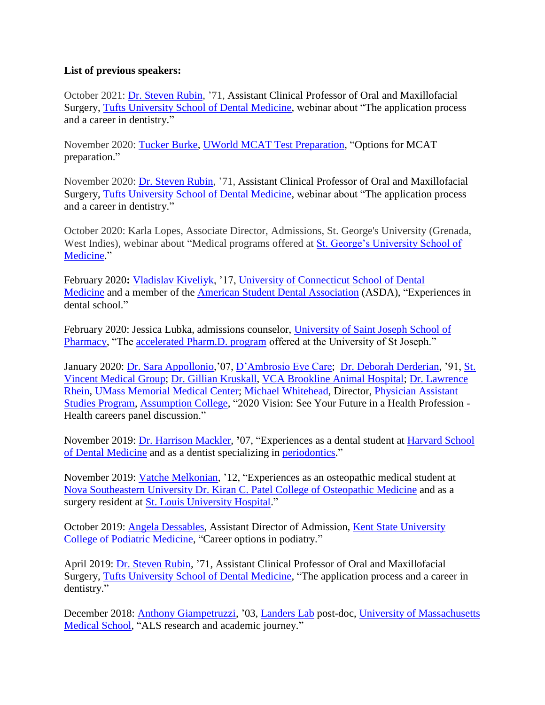## **List of previous speakers:**

October 2021: [Dr. Steven Rubin,](https://www.linkedin.com/in/steven-rubin-21271b21) '71, Assistant Clinical Professor of Oral and Maxillofacial Surgery, [Tufts University School of Dental Medicine,](https://dental.tufts.edu/academics/dmd-program#procedures) webinar about "The application process and a career in dentistry."

November 2020: [Tucker Burke,](https://twitter.com/MCATUWorld) [UWorld MCAT Test Preparation,](https://gradschool.uworld.com/mcat/) "Options for MCAT preparation."

November 2020: [Dr. Steven Rubin,](https://www.linkedin.com/in/steven-rubin-21271b21) '71, Assistant Clinical Professor of Oral and Maxillofacial Surgery, [Tufts University School of Dental Medicine,](https://dental.tufts.edu/academics/dmd-program#procedures) webinar about "The application process and a career in dentistry."

October 2020: Karla Lopes, Associate Director, Admissions, St. George's University (Grenada, West Indies), webinar about "Medical programs offered at [St. George's University School of](https://www.sgu.edu/academic-programs/school-of-medicine/)  [Medicine.](https://www.sgu.edu/academic-programs/school-of-medicine/)"

February 2020**:** [Vladislav Kiveliyk,](https://www.linkedin.com/in/vladislav-kiveliyk-782250ba) '17, [University of Connecticut School of Dental](https://dentalmedicine.uconn.edu/)  [Medicine](https://dentalmedicine.uconn.edu/) and a member of the [American Student Dental Association](https://www.asdanet.org/) (ASDA), "Experiences in dental school."

February 2020: Jessica Lubka, admissions counselor, [University of Saint Joseph School of](https://www.usj.edu/academics/academic-schools/sppas/pharmacy/)  [Pharmacy,](https://www.usj.edu/academics/academic-schools/sppas/pharmacy/) "The [accelerated Pharm.D. program](https://www.usj.edu/academics/academic-schools/sppas/pharmacy/about-pharmacy-usj/) offered at the University of St Joseph."

January 2020: [Dr. Sara Appollonio,](https://www.dambrosio-eye-care-boston.com/doctor-apollonio-optometrist.html)'07, [D'Ambrosio Eye Care;](https://www.dambrosio-eye-care-boston.com/) [Dr. Deborah Derderian,](https://stvincentmedgroup.com/deborah-derderian-d-o/) '91, [St.](https://stvincentmedgroup.com/)  [Vincent Medical Group;](https://stvincentmedgroup.com/) [Dr. Gillian Kruskall,](https://vcahospitals.com/brookline/team/gillian-kruskall) [VCA Brookline Animal Hospital;](https://vcahospitals.com/brookline/hospital) [Dr. Lawrence](https://physicians.umassmemorial.org/details/3928/lawrence-rhein-pediatric_specialty_services-pulmonary_medicine-worcester)  [Rhein,](https://physicians.umassmemorial.org/details/3928/lawrence-rhein-pediatric_specialty_services-pulmonary_medicine-worcester) [UMass Memorial Medical Center;](https://www.umassmemorialhealthcare.org/umass-memorial-medical-center) [Michael Whitehead,](https://www.assumption.edu/people-and-departments/directory/michael-whitehead) Director, [Physician Assistant](https://www.assumption.edu/graduate/physician-assistant-studies)  [Studies Program,](https://www.assumption.edu/graduate/physician-assistant-studies) [Assumption College,](https://www.assumption.edu/) "2020 Vision: See Your Future in a Health Profession - Health careers panel discussion."

November 2019: [Dr. Harrison Mackler,](https://parkdentalspecialists.com/team/harrison-mackler-dmd-ms/) **'**07, "Experiences as a dental student at [Harvard School](https://hsdm.harvard.edu/home)  [of Dental Medicine](https://hsdm.harvard.edu/home) and as a dentist specializing in [periodontics.](https://parkdentalspecialists.com/procedures/periodontics/)"

November 2019: [Vatche Melkonian,](https://www.linkedin.com/in/vatche-melkonian-do-96179461) '12, "Experiences as an osteopathic medical student at [Nova Southeastern University Dr. Kiran C. Patel College of Osteopathic Medicine](https://osteopathic.nova.edu/index.html) and as a surgery resident at [St. Louis University Hospital.](https://www.ssmhealth.com/locations/saint-louis-university-hospital)"

October 2019: [Angela Dessables,](https://www.linkedin.com/in/angela-dessables-96a3a592) Assistant Director of Admission, [Kent State University](https://www.kent.edu/cpm)  [College of Podiatric Medicine,](https://www.kent.edu/cpm) "Career options in podiatry."

April 2019: [Dr. Steven Rubin,](https://www.vitals.com/dentists/Dr_Steven_M_Rubin) '71, Assistant Clinical Professor of Oral and Maxillofacial Surgery, [Tufts University School of Dental Medicine,](https://dental.tufts.edu/academics/dmd-program#procedures) "The application process and a career in dentistry."

December 2018: [Anthony Giampetruzzi,](https://www.umassmed.edu/landerslab/people/) '03, [Landers Lab](https://www.umassmed.edu/landerslab/) post-doc, [University of Massachusetts](https://www.umassmed.edu/)  [Medical School,](https://www.umassmed.edu/) "ALS research and academic journey."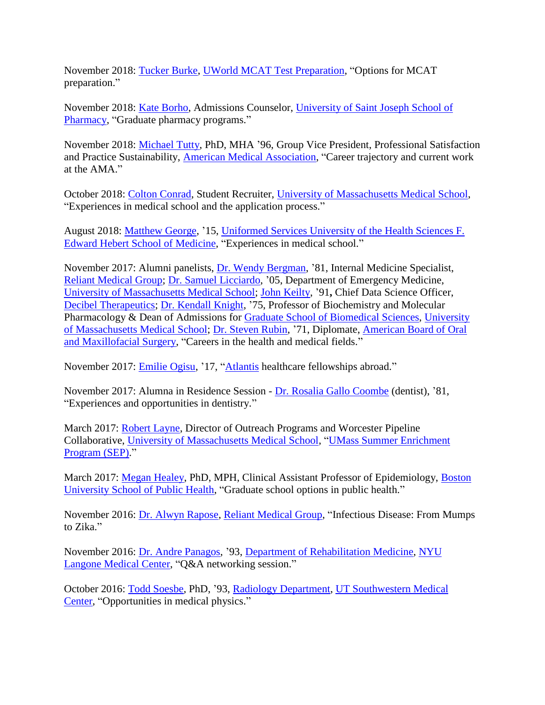November 2018: [Tucker Burke,](https://twitter.com/MCATUWorld) [UWorld MCAT Test Preparation,](https://gradschool.uworld.com/mcat/) "Options for MCAT preparation."

November 2018: [Kate Borho,](https://www.usj.edu/person/kathleen-borho/) Admissions Counselor, [University of Saint Joseph School of](https://www.usj.edu/academics/schools/sppas/pharmacy/)  [Pharmacy,](https://www.usj.edu/academics/schools/sppas/pharmacy/) "Graduate pharmacy programs."

November 2018: [Michael Tutty,](https://events.medcitynews.com/invest/speakers/michael-tutty/) PhD, MHA '96, Group Vice President, Professional Satisfaction and Practice Sustainability, [American Medical Association,](https://www.ama-assn.org/) "Career trajectory and current work at the AMA."

October 2018: [Colton Conrad,](https://www.umassmed.edu/som/admissions/contact-us/student-recruiters/) Student Recruiter, [University of Massachusetts Medical School,](https://www.umassmed.edu/) "Experiences in medical school and the application process."

August 2018: [Matthew George,](https://www.linkedin.com/in/matthew-george-85977393) '15, [Uniformed Services University of the Health Sciences F.](https://www.usuhs.edu/medschool)  [Edward Hebert School of Medicine,](https://www.usuhs.edu/medschool) "Experiences in medical school."

November 2017: Alumni panelists, [Dr. Wendy Bergman,](https://reliantmedicalgroup.org/doctors/wendy-bergman/) '81, Internal Medicine Specialist, [Reliant Medical Group;](https://reliantmedicalgroup.org/) [Dr. Samuel Licciardo,](https://www.umassmed.edu/emed/faculty/samuel-licciardo/) '05, Department of Emergency Medicine, [University of Massachusetts Medical School;](https://www.umassmed.edu/) [John Keilty,](https://decibeltx.com/about-us/leadership/) '91**,** Chief Data Science Officer, [Decibel Therapeutics;](https://decibeltx.com/) [Dr. Kendall Knight,](https://profiles.umassmed.edu/display/132108) '75, Professor of Biochemistry and Molecular Pharmacology & Dean of Admissions for [Graduate School of Biomedical Sciences,](https://www.umassmed.edu/gsbs/) [University](https://www.umassmed.edu/)  [of Massachusetts Medical School;](https://www.umassmed.edu/) [Dr. Steven Rubin,](https://www.zoominfo.com/p/Steven-Rubin/1791878380) '71, Diplomate, [American Board of Oral](https://www.aboms.org/)  [and Maxillofacial Surgery,](https://www.aboms.org/) "Careers in the health and medical fields."

November 2017: [Emilie Ogisu,](http://www.clarkathletics.com/sports/wswimdive/2014-15/bios/ogisu_emilie_29f7) '17, ["Atlantis](https://atlantisglobal.org/) healthcare fellowships abroad."

November 2017: Alumna in Residence Session - [Dr. Rosalia Gallo Coombe](https://www.healthgrades.com/dentist/dr-rosalia-gallo-xgmjn) (dentist), '81, "Experiences and opportunities in dentistry."

March 2017: [Robert Layne,](http://www.umassmed.edu/news/daily-voice/2011/hello-my-name-is----robert-e-layne/) Director of Outreach Programs and Worcester Pipeline Collaborative, [University of Massachusetts Medical School,](http://www.umassmed.edu/) ["UMass Summer Enrichment](http://www.umassmed.edu/sep/)  [Program](http://www.umassmed.edu/sep/) (SEP)."

March 2017: [Megan Healey,](https://www.bu.edu/sph/profile/megan-healey/) PhD, MPH, Clinical Assistant Professor of Epidemiology, [Boston](https://www.bu.edu/sph/)  [University School of Public Health,](https://www.bu.edu/sph/) "Graduate school options in public health."

November 2016: [Dr. Alwyn Rapose,](https://reliantmedicalgroup.org/doctors/alwyn-rapose/) [Reliant Medical Group,](https://reliantmedicalgroup.org/) "Infectious Disease: From Mumps to Zika."

November 2016: [Dr. Andre Panagos,](http://ssmny.com/) '93, [Department of Rehabilitation Medicine,](http://www.med.nyu.edu/biosketch/panaga01) [NYU](http://www.med.nyu.edu/)  [Langone Medical Center,](http://www.med.nyu.edu/) "Q&A networking session."

October 2016: [Todd Soesbe,](http://www.utdallas.edu/nsm/research/airc/faculty_soesbe.htm) PhD, '93, [Radiology Department,](http://www.utsouthwestern.edu/education/medical-school/departments/radiology/) [UT Southwestern Medical](http://profiles.utsouthwestern.edu/profile/56841/todd-soesbe.html)  [Center,](http://profiles.utsouthwestern.edu/profile/56841/todd-soesbe.html) "Opportunities in medical physics."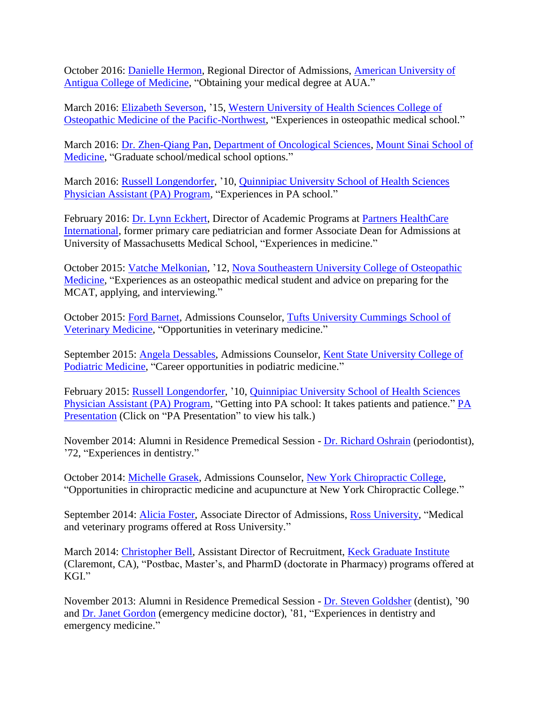October 2016: [Danielle Hermon,](https://www.auamed.org/about/administration/attachment/danielle/) Regional Director of Admissions, [American University of](https://www.auamed.org/)  [Antigua College of Medicine,](https://www.auamed.org/) "Obtaining your medical degree at AUA."

March 2016: [Elizabeth Severson,](https://www.linkedin.com/in/elizabeth-severson-01b4b8a1) '15, [Western University of Health Sciences College of](http://prospective.westernu.edu/osteopathic-nw/welcome-18/)  [Osteopathic Medicine of the Pacific-Northwest,](http://prospective.westernu.edu/osteopathic-nw/welcome-18/) "Experiences in osteopathic medical school."

March 2016: [Dr. Zhen-Qiang Pan,](http://www.mountsinai.org/profiles/zhen-qiang-pan) [Department of Oncological Sciences,](http://icahn.mssm.edu/about/departments/oncological-sciences) [Mount Sinai School of](http://icahn.mssm.edu/)  [Medicine,](http://icahn.mssm.edu/) "Graduate school/medical school options."

March 2016: [Russell Longendorfer,](https://www.healthgrades.com/providers/russell-longendorfer-xynbxsg) '10, [Quinnipiac University School of Health Sciences](https://www.qu.edu/schools/health-sciences/programs/entry-level-masters-physician-assistant.html)  [Physician Assistant \(PA\) Program,](https://www.qu.edu/schools/health-sciences/programs/entry-level-masters-physician-assistant.html) "Experiences in PA school."

February 2016: [Dr. Lynn Eckhert,](https://www.partners.org/Assets/Documents/International/Eckhert_Bio.pdf) Director of Academic Programs at Partners HealthCare [International,](http://www.partners.org/international/Default.aspx) former primary care pediatrician and former Associate Dean for Admissions at University of Massachusetts Medical School, "Experiences in medicine."

October 2015: [Vatche Melkonian,](http://nsuworks.nova.edu/bestill/vol2/iss1/33/) '12, [Nova Southeastern University College of Osteopathic](http://osteopathic.nova.edu/)  [Medicine,](http://osteopathic.nova.edu/) "Experiences as an osteopathic medical student and advice on preparing for the MCAT, applying, and interviewing."

October 2015: [Ford Barnet,](https://whitepages.tufts.edu/ldapentry.cgi?tuftsedutrunk=AC876415DE23E9F246974DA72F053C8F) Admissions Counselor, [Tufts University Cummings School of](http://www.tufts.edu/vet/dvm/admission_criteria.html)  [Veterinary Medicine,](http://www.tufts.edu/vet/dvm/admission_criteria.html) "Opportunities in veterinary medicine."

September 2015: [Angela Dessables,](http://archive.constantcontact.com/fs126/1101854472700/archive/1120440308796.html) Admissions Counselor, [Kent State University College of](https://www.kent.edu/cpm)  [Podiatric Medicine,](https://www.kent.edu/cpm) "Career opportunities in podiatric medicine."

February 2015: [Russell Longendorfer,](https://www.healthgrades.com/providers/russell-longendorfer-xynbxsg) '10, [Quinnipiac University School of Health Sciences](https://www.qu.edu/schools/health-sciences/programs/entry-level-masters-physician-assistant.html)  [Physician Assistant \(PA\) Program,](https://www.qu.edu/schools/health-sciences/programs/entry-level-masters-physician-assistant.html) "Getting into PA school: It takes patients and patience." [PA](http://www.clarku.edu/departments/prehealth/why/docs/PApresentationRL.pptx)  [Presentation](http://www.clarku.edu/departments/prehealth/why/docs/PApresentationRL.pptx) (Click on "PA Presentation" to view his talk.)

November 2014: Alumni in Residence Premedical Session - [Dr. Richard Oshrain](http://www.sddsny.org/richardoshrain) (periodontist), '72, "Experiences in dentistry."

October 2014: [Michelle Grasek,](http://www.nycc.edu/Admissions_team.htm) Admissions Counselor, [New York Chiropractic College,](http://www.nycc.edu/) "Opportunities in chiropractic medicine and acupuncture at New York Chiropractic College."

September 2014: [Alicia Foster,](https://www.facebook.com/alicia.foster.94849) Associate Director of Admissions, [Ross University,](http://www.rossu.edu/) "Medical and veterinary programs offered at Ross University."

March 2014: [Christopher Bell,](https://www.ketchum.edu/about/directory_profile/bell_christopher) Assistant Director of Recruitment, [Keck Graduate Institute](http://www.kgi.edu/) (Claremont, CA), "Postbac, Master's, and PharmD (doctorate in Pharmacy) programs offered at KGI."

November 2013: Alumni in Residence Premedical Session - [Dr. Steven Goldsher](http://www.valleyperio.com/?page_id=590) (dentist), '90 and [Dr. Janet Gordon](https://middlesexhospital.org/find-a-physician/janet-gordon) (emergency medicine doctor), '81, "Experiences in dentistry and emergency medicine."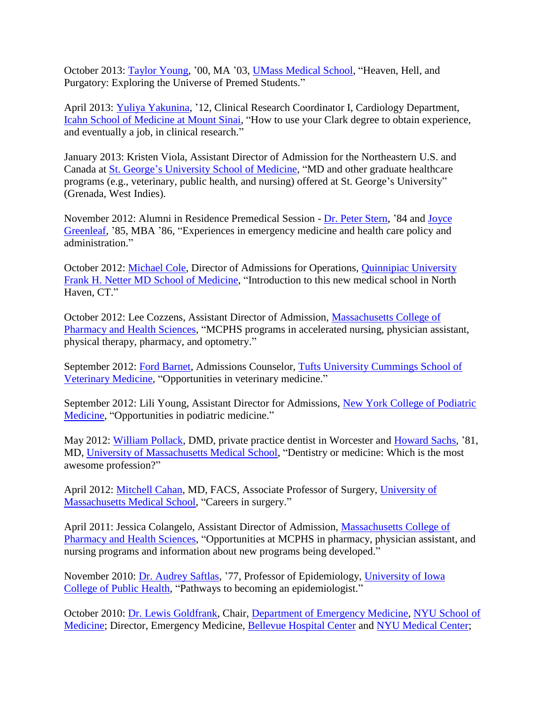October 2013: [Taylor Young,](https://www.doximity.com/pub/taylor-young-md) '00, MA '03, [UMass Medical School,](http://www.umassmed.edu/default/) "Heaven, Hell, and Purgatory: Exploring the Universe of Premed Students."

April 2013: [Yuliya Yakunina,](http://icahn.mssm.edu/research/clinical-trials/health-topics/heart/06-0648) '12, Clinical Research Coordinator I, Cardiology Department, [Icahn School of Medicine at Mount Sinai,](http://icahn.mssm.edu/) "How to use your Clark degree to obtain experience, and eventually a job, in clinical research."

January 2013: Kristen Viola, Assistant Director of Admission for the Northeastern U.S. and Canada at [St. George's University School of Medicine,](http://www.sgu.edu/school-of-medicine/index.html) "MD and other graduate healthcare programs (e.g., veterinary, public health, and nursing) offered at St. George's University" (Grenada, West Indies).

November 2012: Alumni in Residence Premedical Session - [Dr. Peter Stern,](http://thedoctorsinnnj.com/) '84 and [Joyce](http://www.clarku.edu/blog/joyce-greenleaf-85-mba-86)  [Greenleaf,](http://www.clarku.edu/blog/joyce-greenleaf-85-mba-86) '85, MBA '86, "Experiences in emergency medicine and health care policy and administration."

October 2012: [Michael Cole,](https://www.qu.edu/student-resources/directory/staff.66407.html) Director of Admissions for Operations, [Quinnipiac University](https://www.qu.edu/schools/medicine.html)  [Frank H. Netter MD School of Medicine,](https://www.qu.edu/schools/medicine.html) "Introduction to this new medical school in North Haven, CT."

October 2012: Lee Cozzens, Assistant Director of Admission, [Massachusetts College of](http://www.mcphs.edu/)  [Pharmacy and Health Sciences,](http://www.mcphs.edu/) "MCPHS programs in accelerated nursing, physician assistant, physical therapy, pharmacy, and optometry."

September 2012: [Ford Barnet,](https://whitepages.tufts.edu/ldapentry.cgi?tuftsedutrunk=AC876415DE23E9F246974DA72F053C8F) Admissions Counselor, [Tufts University Cummings School of](http://www.tufts.edu/vet/dvm/admission_criteria.html)  [Veterinary Medicine,](http://www.tufts.edu/vet/dvm/admission_criteria.html) "Opportunities in veterinary medicine."

September 2012: Lili Young, Assistant Director for Admissions, [New York College of Podiatric](http://www.nycpm.edu/admission.asp)  [Medicine,](http://www.nycpm.edu/admission.asp) "Opportunities in podiatric medicine."

May 2012: [William Pollack,](https://www.healthgrades.com/dentist/dr-william-pollack-xlnt3) DMD, private practice dentist in Worcester and [Howard Sachs,](https://physicians.umassmemorial.org/details/1825/howard-sachs-internal_medicine-worcester) '81, MD, [University of Massachusetts Medical School,](http://www.umassmed.edu/) "Dentistry or medicine: Which is the most awesome profession?"

April 2012: [Mitchell Cahan,](https://physicians.umassmemorial.org/details/2474/mitchell-cahan-surgery-worcester) MD, FACS, Associate Professor of Surgery, [University of](http://www.umassmed.edu/)  [Massachusetts Medical School,](http://www.umassmed.edu/) "Careers in surgery."

April 2011: Jessica Colangelo, Assistant Director of Admission, [Massachusetts College of](http://www.mcphs.edu/)  [Pharmacy and Health Sciences,](http://www.mcphs.edu/) "Opportunities at MCPHS in pharmacy, physician assistant, and nursing programs and information about new programs being developed."

November 2010: [Dr. Audrey Saftlas,](http://www.public-health.uiowa.edu/people/audrey-saftlas/) '77, Professor of Epidemiology, [University of Iowa](http://www.public-health.uiowa.edu/)  [College of Public Health,](http://www.public-health.uiowa.edu/) "Pathways to becoming an epidemiologist."

October 2010: [Dr. Lewis Goldfrank,](https://nyulangone.org/doctors/1891889150/lewis-r-goldfrank) Chair, [Department of Emergency Medicine,](http://emergency.med.nyu.edu/) [NYU School of](http://school.med.nyu.edu/)  [Medicine;](http://school.med.nyu.edu/) Director, Emergency Medicine, [Bellevue Hospital Center](http://www.nychealthandhospitals.org/bellevue/) and [NYU Medical Center;](http://www.med.nyu.edu/)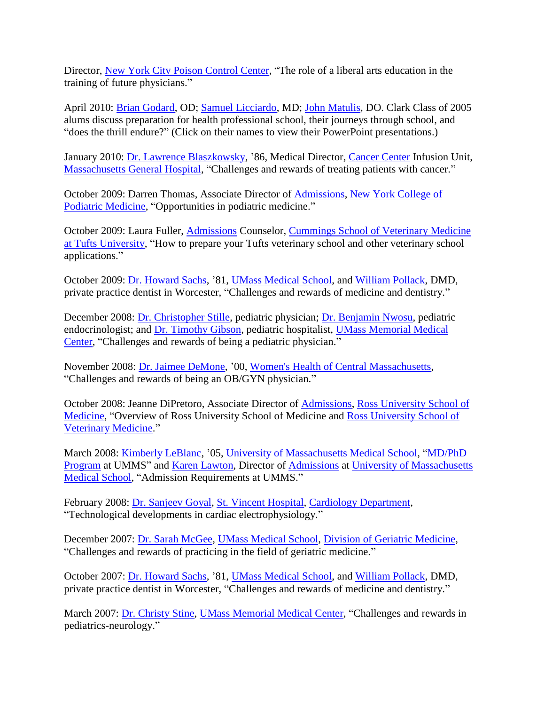Director, [New York City Poison Control Center,](http://www1.nyc.gov/site/doh/health/health-topics/poison-control.page) "The role of a liberal arts education in the training of future physicians."

April 2010: [Brian Godard,](https://www2.clarku.edu/departments/prehealth/why/docs/GodardNECOPPT08-09.ppt) OD; [Samuel Licciardo,](https://www2.clarku.edu/departments/prehealth/why/docs/LicciardoMatulis.ppt) MD; [John Matulis,](https://www2.clarku.edu/departments/prehealth/why/docs/LicciardoMatulis.ppt) DO. Clark Class of 2005 alums discuss preparation for health professional school, their journeys through school, and "does the thrill endure?" (Click on their names to view their PowerPoint presentations.)

January 2010: [Dr. Lawrence Blaszkowsky,](http://www.massgeneral.org/cancer/doctors/doctor.aspx?ID=17523) '86, Medical Director, [Cancer Center](http://www.massgeneral.org/cancer/) Infusion Unit, [Massachusetts General Hospital,](http://www.massgeneral.org/) "Challenges and rewards of treating patients with cancer."

October 2009: Darren Thomas, Associate Director of [Admissions,](http://www.nycpm.edu/admission.asp) [New York College of](http://www.nycpm.edu/)  [Podiatric Medicine,](http://www.nycpm.edu/) "Opportunities in podiatric medicine."

October 2009: Laura Fuller, [Admissions](http://vet.tufts.edu/admissions/contact/) Counselor, [Cummings School of Veterinary Medicine](http://vet.tufts.edu/)  [at Tufts University,](http://vet.tufts.edu/) "How to prepare your Tufts veterinary school and other veterinary school applications."

October 2009: [Dr. Howard Sachs,](https://physicians.umassmemorial.org/details/1825/howard-sachs-internal_medicine-worcester) '81, [UMass Medical School,](http://www.umassmed.edu/) and [William Pollack,](https://www.healthgrades.com/dentist/dr-william-pollack-xlnt3) DMD, private practice dentist in Worcester, "Challenges and rewards of medicine and dentistry."

December 2008: [Dr. Christopher Stille,](http://www.ucdenver.edu/academics/colleges/medicalschool/programs/crisp/about/Pages/Team%20Individual%20Pages/Stille.aspx) pediatric physician; [Dr. Benjamin Nwosu,](https://physicians.umassmemorial.org/details/2362/benjamin-nwosu-diabetes-endocrinology-pediatric_specialty_services-worcester) pediatric endocrinologist; and [Dr. Timothy Gibson,](https://physicians.umassmemorial.org/details/2322/timothy-gibson-hospital_medicine-leominster-worcester) pediatric hospitalist, [UMass Memorial Medical](http://www.umassmemorialhealthcare.org/umass-memorial-medical-center)  [Center,](http://www.umassmemorialhealthcare.org/umass-memorial-medical-center) "Challenges and rewards of being a pediatric physician."

November 2008: [Dr. Jaimee DeMone,](https://www.whcma.com/our-doctors/dr-jaimee-a-demone/) '00, [Women's Health of Central Massachusetts,](http://www.whcma.com/) "Challenges and rewards of being an OB/GYN physician."

October 2008: Jeanne DiPretoro, Associate Director of [Admissions,](https://medical.rossu.edu/admissions.html) [Ross University School of](https://medical.rossu.edu/)  [Medicine,](https://medical.rossu.edu/) "Overview of Ross University School of Medicine and [Ross University School of](https://veterinary.rossu.edu/)  [Veterinary Medicine.](https://veterinary.rossu.edu/)"

March 2008: [Kimberly LeBlanc,](https://www.umassmed.edu/cellbio/news/2011/september/kim-leblanc-defends-phd-dissertation/) '05, [University of Massachusetts Medical School,](http://www.umassmed.edu/) ["MD/PhD](http://www.umassmed.edu/mdphd/index.aspx)  [Program](http://www.umassmed.edu/mdphd/index.aspx) at UMMS" and [Karen Lawton,](http://www.umassmed.edu/som/admissions/office_staff.aspx) Director of [Admissions](http://www.umassmed.edu/som/admissions/) at [University of Massachusetts](http://www.umassmed.edu/)  [Medical School,](http://www.umassmed.edu/) "Admission Requirements at UMMS."

February 2008: [Dr. Sanjeev Goyal,](http://health.usnews.com/doctors/sanjeev-goyal-27452) [St. Vincent Hospital,](https://www.stvincenthospital.com/) [Cardiology Department,](http://www.stvincentmedgroup.com/our-specialties/cardiology) "Technological developments in cardiac electrophysiology."

December 2007: [Dr. Sarah McGee,](http://profiles.umassmed.edu/Profiles/display/132948) [UMass Medical School,](http://www.umassmed.edu/) [Division of Geriatric Medicine,](https://www.umassmed.edu/geriatrics/) "Challenges and rewards of practicing in the field of geriatric medicine."

October 2007: [Dr. Howard Sachs,](https://physicians.umassmemorial.org/details/1825/howard-sachs-internal_medicine-worcester) '81, [UMass Medical School,](http://www.umassmed.edu/) and [William Pollack,](https://www.healthgrades.com/dentist/dr-william-pollack-xlnt3) DMD, private practice dentist in Worcester, "Challenges and rewards of medicine and dentistry."

March 2007: [Dr. Christy Stine,](https://physicians.umassmemorial.org/details/2522/christy-stine-neurology-pediatric_specialty_services-northborough-worcester) [UMass Memorial Medical Center,](http://www.umassmemorialhealthcare.org/umass-memorial-medical-center) "Challenges and rewards in pediatrics-neurology."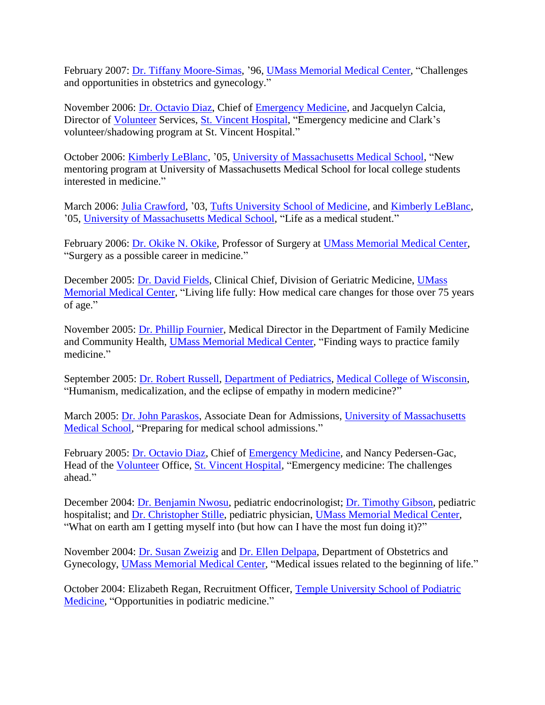February 2007: [Dr. Tiffany Moore-Simas,](https://physicians.umassmemorial.org/details/2393/tiffany-moore_simas-gynecology-obstetrics_and_gynecology-worcester) '96, [UMass Memorial Medical Center,](http://www.umassmemorialhealthcare.org/umass-memorial-medical-center) "Challenges and opportunities in obstetrics and gynecology."

November 2006: [Dr. Octavio Diaz,](https://www.healthgrades.com/physician/dr-octavio-diaz-ynqjs) Chief of [Emergency Medicine,](https://www.healthgrades.com/group-directory/ma-massachusetts/worcester/saint-vincent-hospital-department-of-emergency-medicine-wn3df) and Jacquelyn Calcia, Director of [Volunteer](http://www.stvincenthospital.com/healthcare-professionals/join-our-team/volunteer-opportunities) Services, [St. Vincent Hospital,](http://www.stvincenthospital.com/) "Emergency medicine and Clark's volunteer/shadowing program at St. Vincent Hospital."

October 2006: [Kimberly LeBlanc,](https://www.umassmed.edu/cellbio/news/2011/september/kim-leblanc-defends-phd-dissertation/) '05, [University of Massachusetts Medical School,](http://www.umassmed.edu/) "New mentoring program at University of Massachusetts Medical School for local college students interested in medicine."

March 2006: [Julia Crawford,](https://www.doximity.com/pub/julia-crawford-md-782c) '03, [Tufts University School of Medicine,](http://medicine.tufts.edu/) and [Kimberly LeBlanc,](https://www.umassmed.edu/cellbio/news/2011/september/kim-leblanc-defends-phd-dissertation/) '05, [University of Massachusetts Medical School,](http://www.umassmed.edu/) "Life as a medical student."

February 2006: [Dr. Okike N. Okike,](http://health.usnews.com/doctors/okike-okike-223022) Professor of Surgery at [UMass Memorial Medical Center,](http://www.umassmemorialhealthcare.org/umass-memorial-medical-center) "Surgery as a possible career in medicine."

December 2005: [Dr. David Fields,](https://doctor.webmd.com/doctor/david-fields-md-488a1e59-4720-4f7b-9751-531488b06be4-overview) Clinical Chief, Division of Geriatric Medicine, [UMass](http://www.umassmemorialhealthcare.org/umass-memorial-medical-center)  [Memorial Medical Center,](http://www.umassmemorialhealthcare.org/umass-memorial-medical-center) "Living life fully: How medical care changes for those over 75 years of age."

November 2005: [Dr. Phillip Fournier,](https://physicians.umassmemorial.org/details/1872/phillip-fournier-family_medicine-worcester) Medical Director in the Department of Family Medicine and Community Health, [UMass Memorial Medical Center,](http://www.umassmemorialhealthcare.org/umass-memorial-medical-center) "Finding ways to practice family medicine."

September 2005: [Dr. Robert Russell,](https://www.paloaltou.edu/faculty/robert-russell) [Department of Pediatrics,](https://www.mcw.edu/Pediatrics.htm) [Medical College of Wisconsin,](https://www.mcw.edu/MCW) "Humanism, medicalization, and the eclipse of empathy in modern medicine?"

March 2005: [Dr. John Paraskos,](https://profiles.umassmed.edu/display/133244) Associate Dean for Admissions, [University of Massachusetts](http://www.umassmed.edu/)  [Medical School,](http://www.umassmed.edu/) "Preparing for medical school admissions."

February 2005: [Dr. Octavio Diaz,](https://www.healthgrades.com/physician/dr-octavio-diaz-ynqjs) Chief of [Emergency Medicine,](https://www.healthgrades.com/group-directory/ma-massachusetts/worcester/saint-vincent-hospital-department-of-emergency-medicine-wn3df) and Nancy Pedersen-Gac, Head of the [Volunteer](http://www.stvincenthospital.com/healthcare-professionals/join-our-team/volunteer-opportunities) Office, [St. Vincent Hospital,](http://www.stvincenthospital.com/) "Emergency medicine: The challenges ahead."

December 2004: [Dr. Benjamin Nwosu,](https://physicians.umassmemorial.org/details/2362/benjamin-nwosu-diabetes-endocrinology-pediatric_specialty_services-worcester) pediatric endocrinologist; [Dr. Timothy Gibson,](https://physicians.umassmemorial.org/details/2322/timothy-gibson-hospital_medicine-leominster-worcester) pediatric hospitalist; and [Dr. Christopher Stille,](http://www.ucdenver.edu/academics/colleges/medicalschool/programs/crisp/about/Pages/Team%20Individual%20Pages/Stille.aspx) pediatric physician, [UMass Memorial Medical Center,](http://www.umassmemorialhealthcare.org/umass-memorial-medical-center) "What on earth am I getting myself into (but how can I have the most fun doing it)?"

November 2004: [Dr. Susan Zweizig](https://physicians.umassmemorial.org/details/1901/susan-zweizig-cancer-gynecology-obstetrics_and_gynecology-oncology-worcester) and [Dr. Ellen Delpapa,](https://physicians.umassmemorial.org/details/1811/ellen-delpapa-obstetrics_and_gynecology-charlton-leominster-southbridge-worcester) Department of Obstetrics and Gynecology, [UMass Memorial Medical Center,](http://www.umassmemorialhealthcare.org/umass-memorial-medical-center) "Medical issues related to the beginning of life."

October 2004: Elizabeth Regan, Recruitment Officer, [Temple University School of Podiatric](https://podiatry.temple.edu/)  [Medicine,](https://podiatry.temple.edu/) "Opportunities in podiatric medicine."